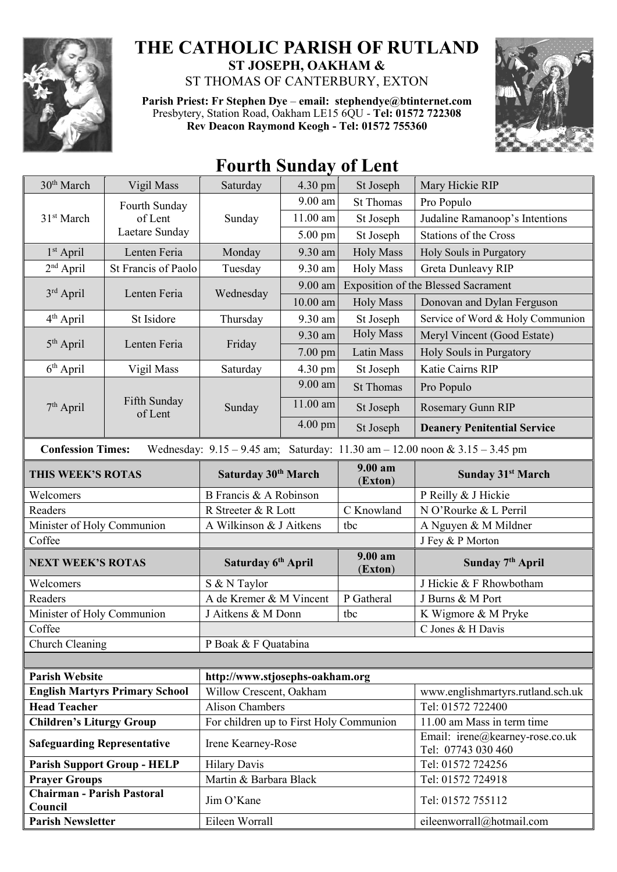

## **THE CATHOLIC PARISH OF RUTLAND ST JOSEPH, OAKHAM &**  ST THOMAS OF CANTERBURY, EXTON

**Parish Priest: Fr Stephen Dye** – **[email: stephendye@btinternet.com](mailto:email:%20%20stephendye@btinternet.com)**

Presbytery, Station Road, Oakham LE15 6QU - **Tel: 01572 722308 Rev Deacon Raymond Keogh - Tel: 01572 755360**



## $30<sup>th</sup> March$  Vigil Mass Saturday 4.30 pm St Joseph Mary Hickie RIP 31st March Fourth Sunday of Lent Laetare Sunday Sunday 9.00 am St Thomas Pro Populo 11.00 am St Joseph Judaline Ramanoop's Intentions 5.00 pm St Joseph Stations of the Cross  $1<sup>st</sup>$  April Lenten Feria Monday 9.30 am Holy Mass Holy Souls in Purgatory 2<sup>nd</sup> April St Francis of Paolo Tuesday 9.30 am Holy Mass Greta Dunleavy RIP  $3<sup>rd</sup>$  April Lenten Feria Wednesday 9.00 am Exposition of the Blessed Sacrament 10.00 am Holy Mass Donovan and Dylan Ferguson 4<sup>th</sup> April St Isidore Thursday 9.30 am St Joseph Service of Word & Holy Communion  $5<sup>th</sup>$  April Lenten Feria | Friday 9.30 am  $\vert$  Holy Mass  $\vert$  Meryl Vincent (Good Estate) 7.00 pm Latin Mass Holy Souls in Purgatory  $6<sup>th</sup>$  April Vigil Mass | Saturday | 4.30 pm St Joseph | Katie Cairns RIP 7<sup>th</sup> April Fifth Sunday<br>of Lent Sunday 9.00 am  $\left| \right|$  St Thomas  $\left| \right|$  Pro Populo  $11.00$  am St Joseph Rosemary Gunn RIP 4.00 pm St Joseph **Deanery Penitential Service Confession Times:** Wednesday: 9.15 – 9.45 am; Saturday: 11.30 am – 12.00 noon & 3.15 – 3.45 pm **THIS WEEK'S ROTAS Saturday 30th March 9.00 am** (**Exton**) **Sunday 31st March** Welcomers B Francis & A Robinson P Reilly & J Hickie Readers Readers R Streeter & R Lott C Knowland N O'Rourke & L Perril Minister of Holy Communion | A Wilkinson & J Aitkens  $\frac{1}{2}$  tbc  $\frac{1}{2}$  A Nguyen & M Mildner Coffee J Fey & P Morton **NEXT WEEK'S ROTAS Saturday 6th April 9.00 am** (**Exton**) **Sunday 7th April** Welcomers S & N Taylor J Hickie & F Rhowbotham Readers Readers A de Kremer & M Vincent P Gatheral J Burns & M Port Minister of Holy Communion  $\overline{J}$  Aitkens & M Donn tbc K Wigmore & M Pryke Coffee Coffee Corporation Corporation Corporation Corporation Corporation Corporation Corporation Corporation Corporation Corporation Corporation Corporation Corporation Corporation Corporation Corporation Corporation Corp Church Cleaning P Boak & F Quatabina **Parish Website [http://www.stjosephs-oakham.org](http://www.stjosephs-oakham.org/) English Martyrs Primary School** Willow Crescent, Oakham www.englishmartyrs.rutland.sch.uk **Head Teacher** Alison Chambers Tel: 01572 722400 **Children's Liturgy Group** For children up to First Holy Communion 11.00 am Mass in term time **Safeguarding Representative** Irene Kearney-Rose Email: irene@kearney-rose.co.uk Tel: 07743 030 460 **Parish Support Group - HELP** Hilary Davis Tel: 01572 724256 **Prayer Groups** Martin & Barbara Black Tel: 01572 724918 **Chairman - Parish Pastoral**  Council **Council** Tel: 01572 755112

**Parish Newsletter** Eileen Worrall Eileen Worrall Eileenworrall eileenworrall eileenworrall eileenworrall eileenworrall eileenworrall eileenworrall eileenworrall eileenworrall eileenworrall eileenworrall eileenworrall eile

## **Fourth Sunday of Lent**